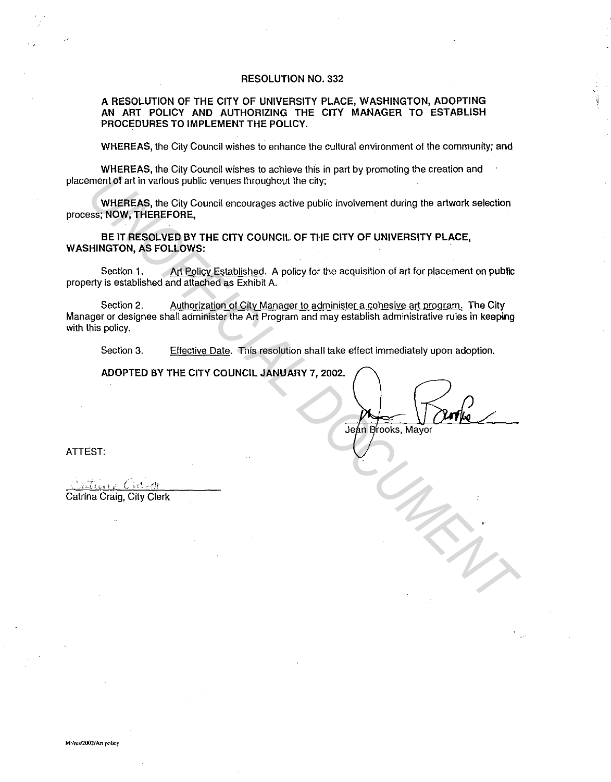#### RESOLUTION NO. 332

#### A RESOLUTION OF THE CITY OF UNIVERSITY PLACE, WASHINGTON, ADOPTING AN ART POLICY AND AUTHORIZING THE CITY MANAGER TO ESTABLISH PROCEDURES TO IMPLEMENT THE POLICY.

WHEREAS, the City Council wishes to enhance the cultural environment of the community; and

WHEREAS, the City Council wishes to achieve this in part by promoting the creation and placement of art in various public venues throughout the city;

WHEREAS, the City Council encourages active public involvement during the artwork selection process; NOW, THEREFORE,

BE IT RESOLVED BY THE CITY COUNCIL OF THE CITY OF UNIVERSITY PLACE, WASHINGTON, AS FOLLOWS:

Section 1. Art Policy Established. A policy for the acquisition of art for placement on public property is established and attached as Exhibit A.

Section 2. Authorization of City Manager to administer a cohesive art program. The City Manager or designee shall administer the Art Program and may establish administrative rules in keeping with this policy. **UNIERERG, the City Council encourages active public involvement during the artwork selection<br>
WHEREAS, the City Council encourages active public involvement during the artwork selection<br>
BE IT RESOLVED BY THE CITY COUNCIL** 

Section 3. Effective Date. This resolution shall take effect immediately upon adoption.

ADOPTED BY THE CITY COUNCIL JANUARY 7, 2002.

Jeán Brooks, Mayor

ATTEST:

Catrina Craig, City Clerk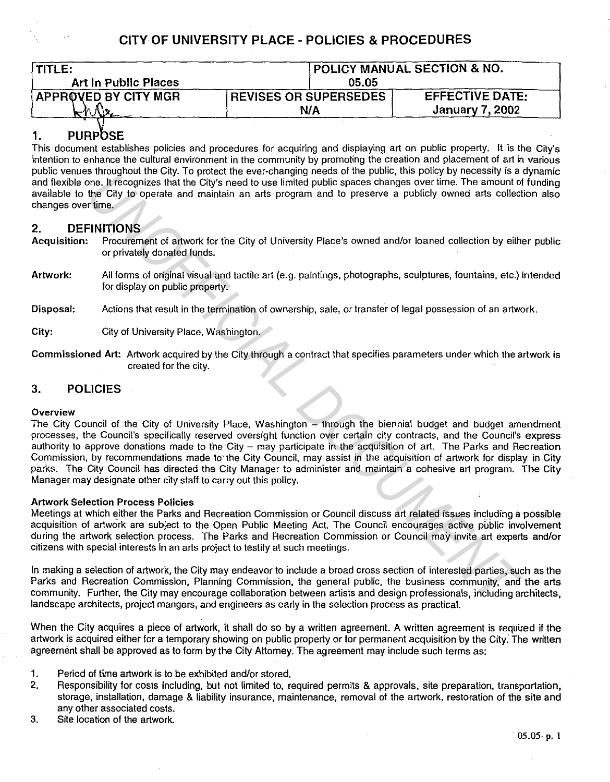| <b>TITLE:</b>               | <b>POLICY MANUAL SECTION &amp; NO.</b> |                        |
|-----------------------------|----------------------------------------|------------------------|
| <b>Art In Public Places</b> | .05.05                                 |                        |
| <b>APPROVED BY CITY MGR</b> | <b>REVISES OR SUPERSEDES</b>           | <b>EFFECTIVE DATE:</b> |
|                             | N/A                                    | January 7, 2002        |

# 1. PURPOSE

This document establishes policies and procedures for acquiring and displaying art on public property. It is the City's intention to enhance the cultural environment in the community by promoting the creation and placement of art in various public venues throughout the City. To protect the ever-changing needs of the public, this policy by necessity is a dynamic and flexible one. It recognizes that the City's need to use limited public spaces changes over time. The amount of funding available to the City to operate and maintain an arts program and to preserve a publicly owned arts collection also changes over time.

## 2. DEFINITIONS

- Acquisition: Procurement of artwork for the City of University Place's owned and/or loaned collection by either public or privately donated funds.
- Artwork: All forms of original visual and tactile art (e.g. paintings, photographs, sculptures, fountains, etc.) intended for display on public property.
- Disposal: Actions that result in the termination of ownership, sale, or transfer of legal possession of an artwork.
- City: City of University Place, Washington.
- Commissioned Art: Artwork acquired by the City through a contract that specifies parameters under which the artwork is created for the city.

## 3. POLICIES

## Overview

The City Council of the City of University Place, Washington – through the biennial budget and budget amendment processes, the Council's specifically reserved oversight function over certain city contracts, and the Council's express authority to approve donations made to the City - may participate in the acquisition of art. The Parks and Recreation Commission, by recommendations made to· the City Council, may assist in the acquisition of artwork for display in City parks. The City Council has directed the City Manager to administer and maintain a cohesive art program. The City Manager may designate other city staff to carry out this policy. **By and the City of University Place.** Washington in every the exact of the Digital and the City of University Place's owned and/or loaned collection by either the City of Driversity Place's owned and/or loaned collection

## Artwork Selection Process Policies

Meetings at which either the Parks and Recreation Commission or Council discuss art related issues including a possible acquisition of artwork are subject to the Open Public Meeting Act. The Council encourages active public involvement during the artwork selection process. The Parks and Recreation Commission or Council may invite art experts and/or citizens with special interests in an arts project to testify at such meetings.

In making a selection of artwork, the City may endeavor to include a broad cross section of interested parties, such as the Parks and Recreation Commission, Planning Commission, the general public, the business community, and the arts community. Further, the City may encourage collaboration between artists and design professionals, including architects, landscape architects, project mangers, and engineers as early in the selection process as practical.

When the City acquires a piece of artwork, it shall do so by a written agreement. A written agreement is required if the artwork is acquired either for a temporary showing on public property or for permanent acquisition by the City. The written agreement shall be approved as to form by the City Attorney. The agreement may include such terms as:

- 1. Period of time artwork is to be exhibited and/or stored.
- 2. Responsibility for costs including, but not limited to, required permits & approvals, site preparation, transportation, storage, installation, damage & liability insurance, maintenance, removal of the artwork, restoration of the site and any other associated costs.
- 3. Site location of the artwork.